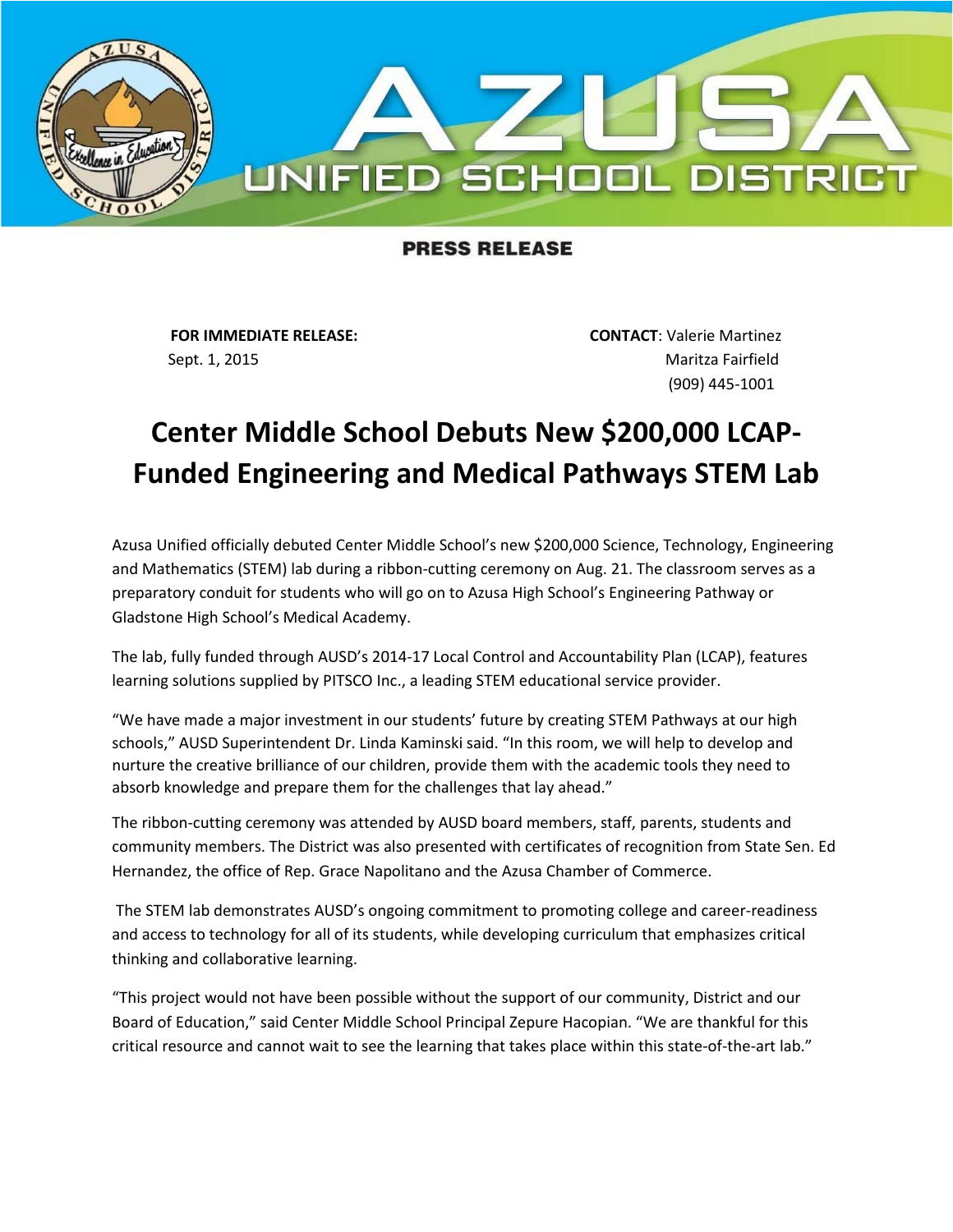

## **PRESS RELEASE**

**FOR IMMEDIATE RELEASE: CONTACT**: Valerie Martinez Sept. 1, 2015 **Maritza Fairfield** 

(909) 445-1001

## **Center Middle School Debuts New \$200,000 LCAP-Funded Engineering and Medical Pathways STEM Lab**

Azusa Unified officially debuted Center Middle School's new \$200,000 Science, Technology, Engineering and Mathematics (STEM) lab during a ribbon-cutting ceremony on Aug. 21. The classroom serves as a preparatory conduit for students who will go on to Azusa High School's Engineering Pathway or Gladstone High School's Medical Academy.

The lab, fully funded through AUSD's 2014-17 Local Control and Accountability Plan (LCAP), features learning solutions supplied by PITSCO Inc., a leading STEM educational service provider.

"We have made a major investment in our students' future by creating STEM Pathways at our high schools," AUSD Superintendent Dr. Linda Kaminski said. "In this room, we will help to develop and nurture the creative brilliance of our children, provide them with the academic tools they need to absorb knowledge and prepare them for the challenges that lay ahead."

The ribbon-cutting ceremony was attended by AUSD board members, staff, parents, students and community members. The District was also presented with certificates of recognition from State Sen. Ed Hernandez, the office of Rep. Grace Napolitano and the Azusa Chamber of Commerce.

The STEM lab demonstrates AUSD's ongoing commitment to promoting college and career-readiness and access to technology for all of its students, while developing curriculum that emphasizes critical thinking and collaborative learning.

"This project would not have been possible without the support of our community, District and our Board of Education," said Center Middle School Principal Zepure Hacopian. "We are thankful for this critical resource and cannot wait to see the learning that takes place within this state-of-the-art lab."